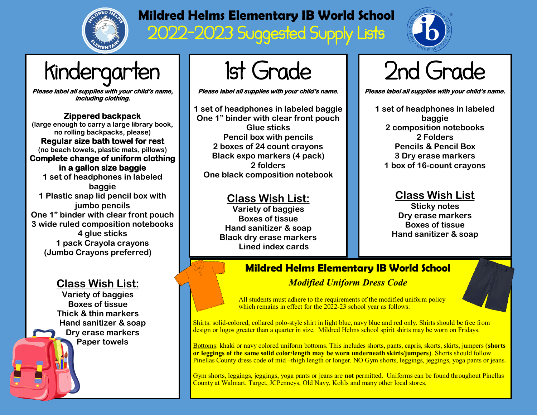

## **Mildred Helms Elementary IB World School**  2022-2023 Suggested Supply Lists



# Kindergarten

**Please label all supplies with your child's name, including clothing.** 

**Zippered backpack (large enough to carry a large library book, no rolling backpacks, please) Regular size bath towel for rest (no beach towels, plastic mats, pillows) Complete change of uniform clothing in a gallon size baggie 1 set of headphones in labeled baggie 1 Plastic snap lid pencil box with jumbo pencils One 1" binder with clear front pouch 3 wide ruled composition notebooks 4 glue sticks 1 pack Crayola crayons (Jumbo Crayons preferred)**

### **Class Wish List:**

**Variety of baggies Boxes of tissue Thick & thin markers Hand sanitizer & soap Dry erase markers Paper towels**

1st Grade

**Please label all supplies with your child's name.** 

**1 set of headphones in labeled baggie One 1" binder with clear front pouch Glue sticks Pencil box with pencils 2 boxes of 24 count crayons Black expo markers (4 pack) 2 folders One black composition notebook**

#### **Class Wish List:**

**Variety of baggies Boxes of tissue Hand sanitizer & soap Black dry erase markers Lined index cards**

## 2nd Grade

**Please label all supplies with your child's name.** 

**1 set of headphones in labeled baggie 2 composition notebooks 2 Folders Pencils & Pencil Box 3 Dry erase markers 1 box of 16-count crayons**

### **Class Wish List**

**Sticky notes Dry erase markers Boxes of tissue Hand sanitizer & soap**

### **Mildred Helms Elementary IB World School** *Modified Uniform Dress Code*

All students must adhere to the requirements of the modified uniform policy which remains in effect for the 2022-23 school year as follows:

Shirts: solid-colored, collared polo-style shirt in light blue, navy blue and red only. Shirts should be free from design or logos greater than a quarter in size. Mildred Helms school spirit shirts may be worn on Fridays.

Bottoms: khaki or navy colored uniform bottoms. This includes shorts, pants, capris, skorts, skirts, jumpers (**shorts or leggings of the same solid color/length may be worn underneath skirts/jumpers**). Shorts should follow Pinellas County dress code of mid –thigh length or longer. NO Gym shorts, leggings, jeggings, yoga pants or jeans.

Gym shorts, leggings, jeggings, yoga pants or jeans are **not** permitted. Uniforms can be found throughout Pinellas County at Walmart, Target, JCPenneys, Old Navy, Kohls and many other local stores.